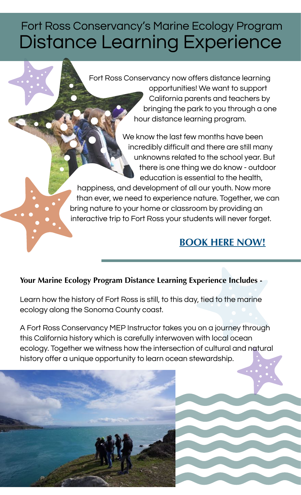# Fort Ross Conservancy's Marine Ecology Program Distance Learning Experience

Fort Ross Conservancy now offers distance learning opportunities! We want to support California parents and teachers by bringing the park to you through a one hour distance learning program.

> We know the last few months have been incredibly difficult and there are still many unknowns related to the school year. But there is one thing we do know - outdoor education is essential to the health,

happiness, and development of all our youth. Now more than ever, we need to experience nature. Together, we can bring nature to your home or classroom by providing an interactive trip to Fort Ross your students will never forget.

#### **[BOOK HERE NOW!](https://programs.fortross.org/mep/distance_learning/)**

#### **Your Marine Ecology Program Distance Learning Experience Includes -**

Learn how the history of Fort Ross is still, to this day, tied to the marine ecology along the Sonoma County coast.

A Fort Ross Conservancy MEP Instructor takes you on a journey through this California history which is carefully interwoven with local ocean ecology. Together we witness how the intersection of cultural and natural history offer a unique opportunity to learn ocean stewardship.

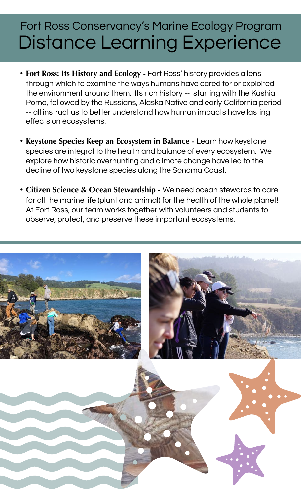### Fort Ross Conservancy's Marine Ecology Program Distance Learning Experience

- **Fort Ross: Its History and Ecology -** Fort Ross' history provides a lens through which to examine the ways humans have cared for or exploited the environment around them. Its rich history -- starting with the Kashia Pomo, followed by the Russians, Alaska Native and early California period -- all instruct us to better understand how human impacts have lasting effects on ecosystems.
- **Keystone Species Keep an Ecosystem in Balance** Learn how keystone species are integral to the health and balance of every ecosystem. We explore how historic overhunting and climate change have led to the decline of two keystone species along the Sonoma Coast.
- **Citizen Science & Ocean Stewardship** We need ocean stewards to care for all the marine life (plant and animal) for the health of the whole planet! At Fort Ross, our team works together with volunteers and students to observe, protect, and preserve these important ecosystems.